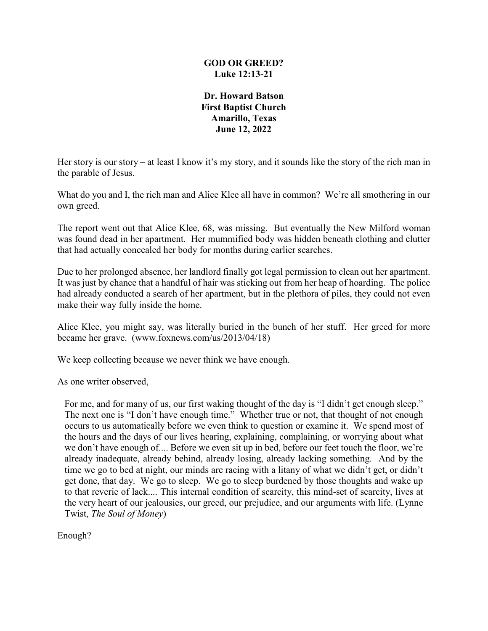### **GOD OR GREED? Luke 12:13-21**

**Dr. Howard Batson First Baptist Church Amarillo, Texas June 12, 2022**

Her story is our story – at least I know it's my story, and it sounds like the story of the rich man in the parable of Jesus.

What do you and I, the rich man and Alice Klee all have in common? We're all smothering in our own greed.

The report went out that Alice Klee, 68, was missing. But eventually the New Milford woman was found dead in her apartment. Her mummified body was hidden beneath clothing and clutter that had actually concealed her body for months during earlier searches.

Due to her prolonged absence, her landlord finally got legal permission to clean out her apartment. It was just by chance that a handful of hair was sticking out from her heap of hoarding. The police had already conducted a search of her apartment, but in the plethora of piles, they could not even make their way fully inside the home.

Alice Klee, you might say, was literally buried in the bunch of her stuff. Her greed for more became her grave. (www.foxnews.com/us/2013/04/18)

We keep collecting because we never think we have enough.

As one writer observed,

For me, and for many of us, our first waking thought of the day is "I didn't get enough sleep." The next one is "I don't have enough time." Whether true or not, that thought of not enough occurs to us automatically before we even think to question or examine it. We spend most of the hours and the days of our lives hearing, explaining, complaining, or worrying about what we don't have enough of.... Before we even sit up in bed, before our feet touch the floor, we're already inadequate, already behind, already losing, already lacking something. And by the time we go to bed at night, our minds are racing with a litany of what we didn't get, or didn't get done, that day. We go to sleep. We go to sleep burdened by those thoughts and wake up to that reverie of lack.... This internal condition of scarcity, this mind-set of scarcity, lives at the very heart of our jealousies, our greed, our prejudice, and our arguments with life. (Lynne Twist, *The Soul of Money*)

Enough?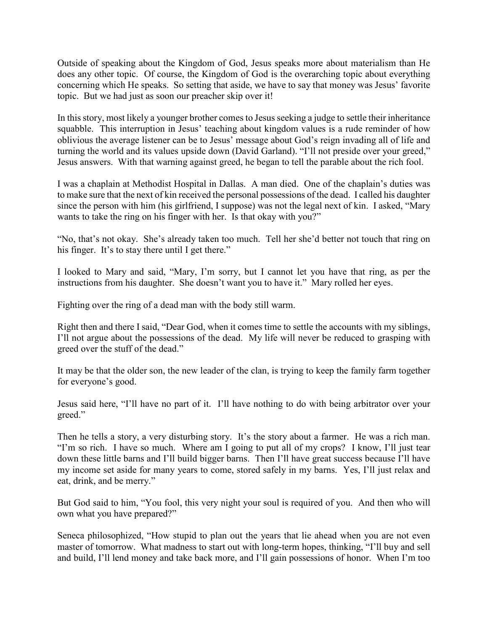Outside of speaking about the Kingdom of God, Jesus speaks more about materialism than He does any other topic. Of course, the Kingdom of God is the overarching topic about everything concerning which He speaks. So setting that aside, we have to say that money was Jesus' favorite topic. But we had just as soon our preacher skip over it!

In this story, most likely a younger brother comes to Jesus seeking a judge to settle their inheritance squabble. This interruption in Jesus' teaching about kingdom values is a rude reminder of how oblivious the average listener can be to Jesus' message about God's reign invading all of life and turning the world and its values upside down (David Garland). "I'll not preside over your greed," Jesus answers. With that warning against greed, he began to tell the parable about the rich fool.

I was a chaplain at Methodist Hospital in Dallas. A man died. One of the chaplain's duties was to make sure that the next of kin received the personal possessions of the dead. I called his daughter since the person with him (his girlfriend, I suppose) was not the legal next of kin. I asked, "Mary wants to take the ring on his finger with her. Is that okay with you?"

"No, that's not okay. She's already taken too much. Tell her she'd better not touch that ring on his finger. It's to stay there until I get there."

I looked to Mary and said, "Mary, I'm sorry, but I cannot let you have that ring, as per the instructions from his daughter. She doesn't want you to have it." Mary rolled her eyes.

Fighting over the ring of a dead man with the body still warm.

Right then and there I said, "Dear God, when it comes time to settle the accounts with my siblings, I'll not argue about the possessions of the dead. My life will never be reduced to grasping with greed over the stuff of the dead."

It may be that the older son, the new leader of the clan, is trying to keep the family farm together for everyone's good.

Jesus said here, "I'll have no part of it. I'll have nothing to do with being arbitrator over your greed."

Then he tells a story, a very disturbing story. It's the story about a farmer. He was a rich man. "I'm so rich. I have so much. Where am I going to put all of my crops? I know, I'll just tear down these little barns and I'll build bigger barns. Then I'll have great success because I'll have my income set aside for many years to come, stored safely in my barns. Yes, I'll just relax and eat, drink, and be merry."

But God said to him, "You fool, this very night your soul is required of you. And then who will own what you have prepared?"

Seneca philosophized, "How stupid to plan out the years that lie ahead when you are not even master of tomorrow. What madness to start out with long-term hopes, thinking, "I'll buy and sell and build, I'll lend money and take back more, and I'll gain possessions of honor. When I'm too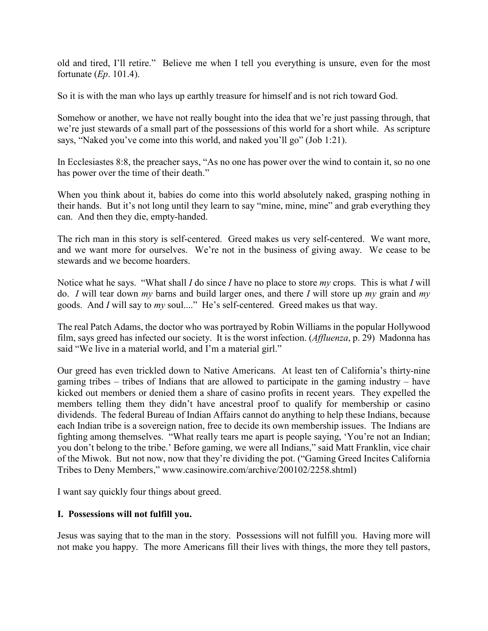old and tired, I'll retire." Believe me when I tell you everything is unsure, even for the most fortunate (*Ep*. 101.4).

So it is with the man who lays up earthly treasure for himself and is not rich toward God.

Somehow or another, we have not really bought into the idea that we're just passing through, that we're just stewards of a small part of the possessions of this world for a short while. As scripture says, "Naked you've come into this world, and naked you'll go" (Job 1:21).

In Ecclesiastes 8:8, the preacher says, "As no one has power over the wind to contain it, so no one has power over the time of their death."

When you think about it, babies do come into this world absolutely naked, grasping nothing in their hands. But it's not long until they learn to say "mine, mine, mine" and grab everything they can. And then they die, empty-handed.

The rich man in this story is self-centered. Greed makes us very self-centered. We want more, and we want more for ourselves. We're not in the business of giving away. We cease to be stewards and we become hoarders.

Notice what he says. "What shall *I* do since *I* have no place to store *my* crops. This is what *I* will do. *I* will tear down *my* barns and build larger ones, and there *I* will store up *my* grain and *my* goods. And *I* will say to *my* soul...." He's self-centered. Greed makes us that way.

The real Patch Adams, the doctor who was portrayed by Robin Williams in the popular Hollywood film, says greed has infected our society. It is the worst infection. (*Affluenza*, p. 29) Madonna has said "We live in a material world, and I'm a material girl."

Our greed has even trickled down to Native Americans. At least ten of California's thirty-nine gaming tribes – tribes of Indians that are allowed to participate in the gaming industry – have kicked out members or denied them a share of casino profits in recent years. They expelled the members telling them they didn't have ancestral proof to qualify for membership or casino dividends. The federal Bureau of Indian Affairs cannot do anything to help these Indians, because each Indian tribe is a sovereign nation, free to decide its own membership issues. The Indians are fighting among themselves. "What really tears me apart is people saying, 'You're not an Indian; you don't belong to the tribe.' Before gaming, we were all Indians," said Matt Franklin, vice chair of the Miwok. But not now, now that they're dividing the pot. ("Gaming Greed Incites California Tribes to Deny Members," www.casinowire.com/archive/200102/2258.shtml)

I want say quickly four things about greed.

# **I. Possessions will not fulfill you.**

Jesus was saying that to the man in the story. Possessions will not fulfill you. Having more will not make you happy. The more Americans fill their lives with things, the more they tell pastors,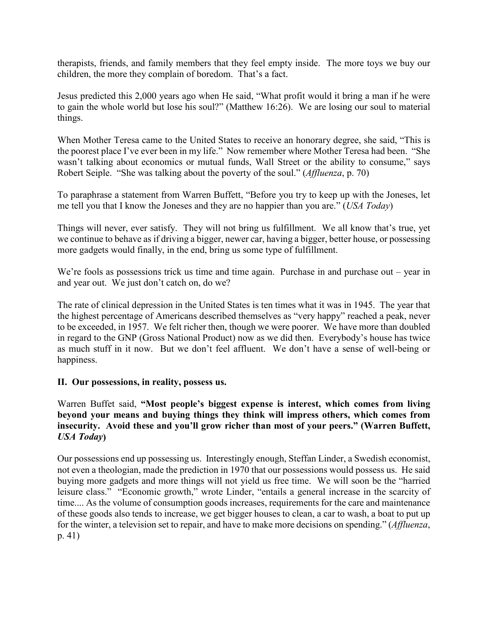therapists, friends, and family members that they feel empty inside. The more toys we buy our children, the more they complain of boredom. That's a fact.

Jesus predicted this 2,000 years ago when He said, "What profit would it bring a man if he were to gain the whole world but lose his soul?" (Matthew 16:26). We are losing our soul to material things.

When Mother Teresa came to the United States to receive an honorary degree, she said, "This is the poorest place I've ever been in my life." Now remember where Mother Teresa had been. "She wasn't talking about economics or mutual funds, Wall Street or the ability to consume," says Robert Seiple. "She was talking about the poverty of the soul." (*Affluenza*, p. 70)

To paraphrase a statement from Warren Buffett, "Before you try to keep up with the Joneses, let me tell you that I know the Joneses and they are no happier than you are." (*USA Today*)

Things will never, ever satisfy. They will not bring us fulfillment. We all know that's true, yet we continue to behave as if driving a bigger, newer car, having a bigger, better house, or possessing more gadgets would finally, in the end, bring us some type of fulfillment.

We're fools as possessions trick us time and time again. Purchase in and purchase out – year in and year out. We just don't catch on, do we?

The rate of clinical depression in the United States is ten times what it was in 1945. The year that the highest percentage of Americans described themselves as "very happy" reached a peak, never to be exceeded, in 1957. We felt richer then, though we were poorer. We have more than doubled in regard to the GNP (Gross National Product) now as we did then. Everybody's house has twice as much stuff in it now. But we don't feel affluent. We don't have a sense of well-being or happiness.

# **II. Our possessions, in reality, possess us.**

Warren Buffet said, **"Most people's biggest expense is interest, which comes from living beyond your means and buying things they think will impress others, which comes from insecurity. Avoid these and you'll grow richer than most of your peers." (Warren Buffett,**  *USA Today***)**

Our possessions end up possessing us. Interestingly enough, Steffan Linder, a Swedish economist, not even a theologian, made the prediction in 1970 that our possessions would possess us. He said buying more gadgets and more things will not yield us free time. We will soon be the "harried leisure class." "Economic growth," wrote Linder, "entails a general increase in the scarcity of time.... As the volume of consumption goods increases, requirements for the care and maintenance of these goods also tends to increase, we get bigger houses to clean, a car to wash, a boat to put up for the winter, a television set to repair, and have to make more decisions on spending." (*Affluenza*, p. 41)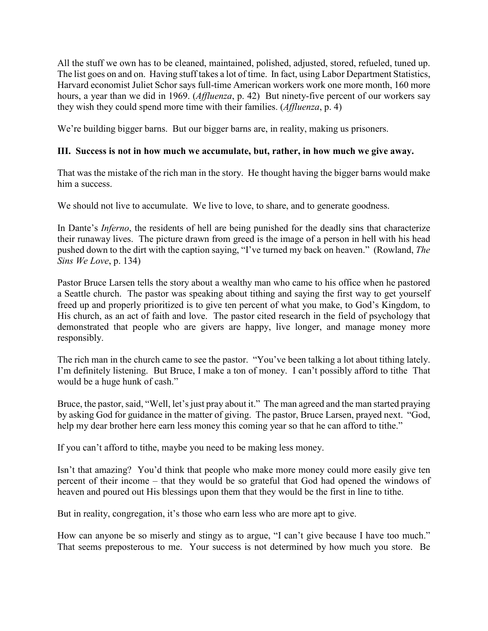All the stuff we own has to be cleaned, maintained, polished, adjusted, stored, refueled, tuned up. The list goes on and on. Having stuff takes a lot of time. In fact, using Labor Department Statistics, Harvard economist Juliet Schor says full-time American workers work one more month, 160 more hours, a year than we did in 1969. (*Affluenza*, p. 42) But ninety-five percent of our workers say they wish they could spend more time with their families. (*Affluenza*, p. 4)

We're building bigger barns. But our bigger barns are, in reality, making us prisoners.

## **III. Success is not in how much we accumulate, but, rather, in how much we give away.**

That was the mistake of the rich man in the story. He thought having the bigger barns would make him a success.

We should not live to accumulate. We live to love, to share, and to generate goodness.

In Dante's *Inferno*, the residents of hell are being punished for the deadly sins that characterize their runaway lives. The picture drawn from greed is the image of a person in hell with his head pushed down to the dirt with the caption saying, "I've turned my back on heaven." (Rowland, *The Sins We Love*, p. 134)

Pastor Bruce Larsen tells the story about a wealthy man who came to his office when he pastored a Seattle church. The pastor was speaking about tithing and saying the first way to get yourself freed up and properly prioritized is to give ten percent of what you make, to God's Kingdom, to His church, as an act of faith and love. The pastor cited research in the field of psychology that demonstrated that people who are givers are happy, live longer, and manage money more responsibly.

The rich man in the church came to see the pastor. "You've been talking a lot about tithing lately. I'm definitely listening. But Bruce, I make a ton of money. I can't possibly afford to tithe That would be a huge hunk of cash."

Bruce, the pastor, said, "Well, let's just pray about it." The man agreed and the man started praying by asking God for guidance in the matter of giving. The pastor, Bruce Larsen, prayed next. "God, help my dear brother here earn less money this coming year so that he can afford to tithe."

If you can't afford to tithe, maybe you need to be making less money.

Isn't that amazing? You'd think that people who make more money could more easily give ten percent of their income – that they would be so grateful that God had opened the windows of heaven and poured out His blessings upon them that they would be the first in line to tithe.

But in reality, congregation, it's those who earn less who are more apt to give.

How can anyone be so miserly and stingy as to argue, "I can't give because I have too much." That seems preposterous to me. Your success is not determined by how much you store. Be